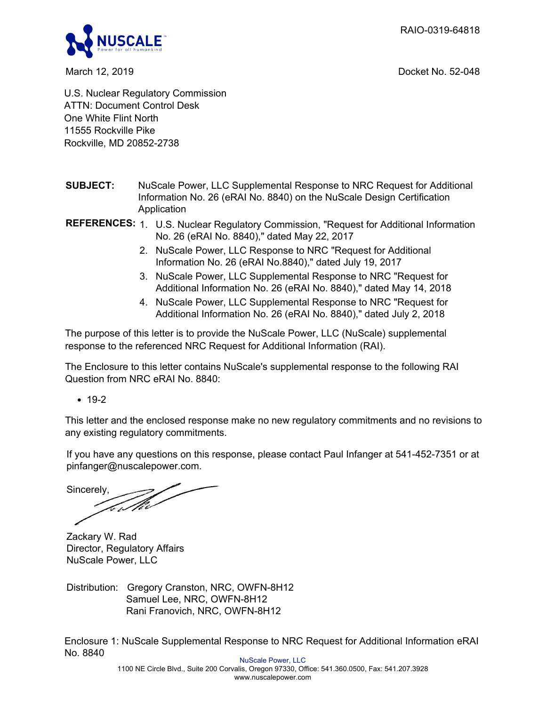RAIO-0319-64818



March 12, 2019 Docket No. 52-048

U.S. Nuclear Regulatory Commission ATTN: Document Control Desk One White Flint North 11555 Rockville Pike Rockville, MD 20852-2738

- **SUBJECT:** NuScale Power, LLC Supplemental Response to NRC Request for Additional Information No. 26 (eRAI No. 8840) on the NuScale Design Certification Application
- **REFERENCES:** 1. U.S. Nuclear Regulatory Commission, "Request for Additional Information No. 26 (eRAI No. 8840)," dated May 22, 2017
	- 2. NuScale Power, LLC Response to NRC "Request for Additional Information No. 26 (eRAI No.8840)," dated July 19, 2017
	- 3. NuScale Power, LLC Supplemental Response to NRC "Request for Additional Information No. 26 (eRAI No. 8840)," dated May 14, 2018
	- 4. NuScale Power, LLC Supplemental Response to NRC "Request for Additional Information No. 26 (eRAI No. 8840)," dated July 2, 2018

The purpose of this letter is to provide the NuScale Power, LLC (NuScale) supplemental response to the referenced NRC Request for Additional Information (RAI).

The Enclosure to this letter contains NuScale's supplemental response to the following RAI Question from NRC eRAI No. 8840:

 $• 19-2$ 

This letter and the enclosed response make no new regulatory commitments and no revisions to any existing regulatory commitments.

If you have any questions on this response, please contact Paul Infanger at 541-452-7351 or at pinfanger@nuscalepower.com.

Sincerely, *ter M*i

Zackary W. Rad Director, Regulatory Affairs NuScale Power, LLC

Distribution: Gregory Cranston, NRC, OWFN-8H12 Samuel Lee, NRC, OWFN-8H12 Rani Franovich, NRC, OWFN-8H12

Enclosure 1: NuScale Supplemental Response to NRC Request for Additional Information eRAI No. 8840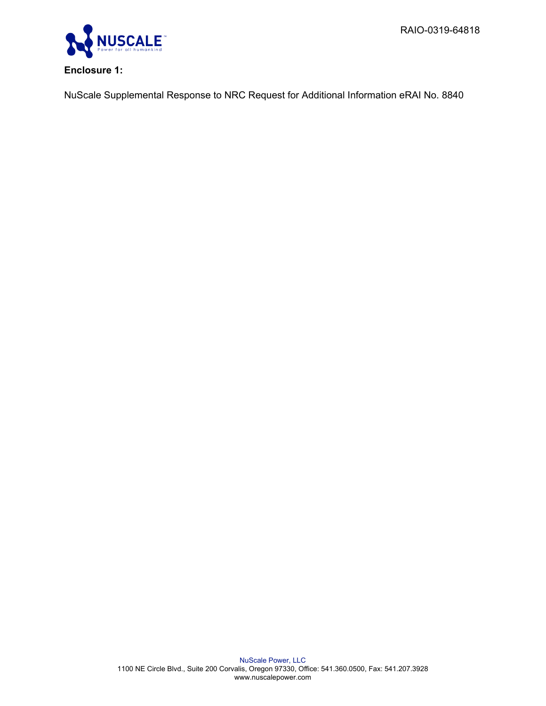RAIO-0319-64818



## **Enclosure 1:**

NuScale Supplemental Response to NRC Request for Additional Information eRAI No. 8840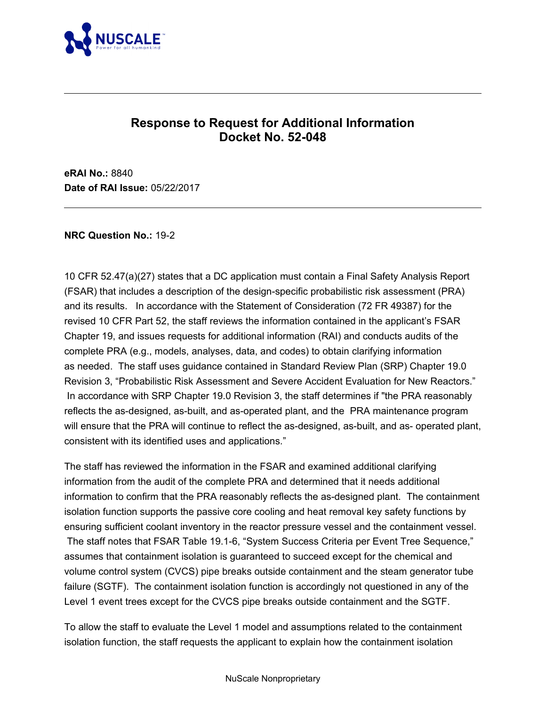

# **Response to Request for Additional Information Docket No. 52-048**

**eRAI No.:** 8840 **Date of RAI Issue:** 05/22/2017

#### **NRC Question No.:** 19-2

10 CFR 52.47(a)(27) states that a DC application must contain a Final Safety Analysis Report (FSAR) that includes a description of the design-specific probabilistic risk assessment (PRA) and its results. In accordance with the Statement of Consideration (72 FR 49387) for the revised 10 CFR Part 52, the staff reviews the information contained in the applicant's FSAR Chapter 19, and issues requests for additional information (RAI) and conducts audits of the complete PRA (e.g., models, analyses, data, and codes) to obtain clarifying information as needed. The staff uses guidance contained in Standard Review Plan (SRP) Chapter 19.0 Revision 3, "Probabilistic Risk Assessment and Severe Accident Evaluation for New Reactors." In accordance with SRP Chapter 19.0 Revision 3, the staff determines if "the PRA reasonably reflects the as-designed, as-built, and as-operated plant, and the PRA maintenance program will ensure that the PRA will continue to reflect the as-designed, as-built, and as- operated plant, consistent with its identified uses and applications."

The staff has reviewed the information in the FSAR and examined additional clarifying information from the audit of the complete PRA and determined that it needs additional information to confirm that the PRA reasonably reflects the as-designed plant. The containment isolation function supports the passive core cooling and heat removal key safety functions by ensuring sufficient coolant inventory in the reactor pressure vessel and the containment vessel. The staff notes that FSAR Table 19.1-6, "System Success Criteria per Event Tree Sequence," assumes that containment isolation is guaranteed to succeed except for the chemical and volume control system (CVCS) pipe breaks outside containment and the steam generator tube failure (SGTF). The containment isolation function is accordingly not questioned in any of the Level 1 event trees except for the CVCS pipe breaks outside containment and the SGTF.

To allow the staff to evaluate the Level 1 model and assumptions related to the containment isolation function, the staff requests the applicant to explain how the containment isolation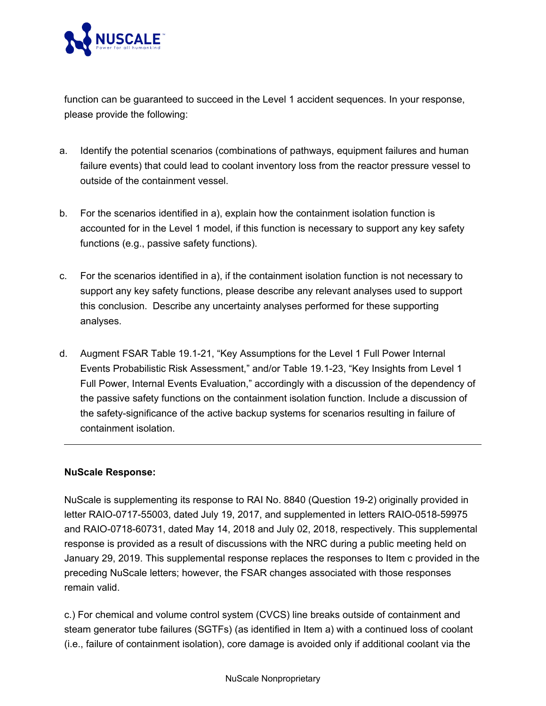

function can be guaranteed to succeed in the Level 1 accident sequences. In your response, please provide the following:

- a. Identify the potential scenarios (combinations of pathways, equipment failures and human failure events) that could lead to coolant inventory loss from the reactor pressure vessel to outside of the containment vessel.
- b. For the scenarios identified in a), explain how the containment isolation function is accounted for in the Level 1 model, if this function is necessary to support any key safety functions (e.g., passive safety functions).
- c. For the scenarios identified in a), if the containment isolation function is not necessary to support any key safety functions, please describe any relevant analyses used to support this conclusion. Describe any uncertainty analyses performed for these supporting analyses.
- d. Augment FSAR Table 19.1-21, "Key Assumptions for the Level 1 Full Power Internal Events Probabilistic Risk Assessment," and/or Table 19.1-23, "Key Insights from Level 1 Full Power, Internal Events Evaluation," accordingly with a discussion of the dependency of the passive safety functions on the containment isolation function. Include a discussion of the safety-significance of the active backup systems for scenarios resulting in failure of containment isolation.

### **NuScale Response:**

NuScale is supplementing its response to RAI No. 8840 (Question 19-2) originally provided in letter RAIO-0717-55003, dated July 19, 2017, and supplemented in letters RAIO-0518-59975 and RAIO-0718-60731, dated May 14, 2018 and July 02, 2018, respectively. This supplemental response is provided as a result of discussions with the NRC during a public meeting held on January 29, 2019. This supplemental response replaces the responses to Item c provided in the preceding NuScale letters; however, the FSAR changes associated with those responses remain valid.

c.) For chemical and volume control system (CVCS) line breaks outside of containment and steam generator tube failures (SGTFs) (as identified in Item a) with a continued loss of coolant (i.e., failure of containment isolation), core damage is avoided only if additional coolant via the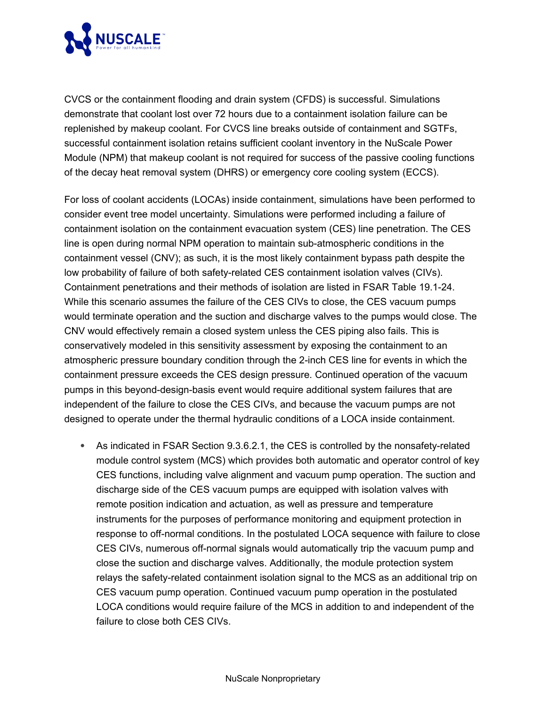

CVCS or the containment flooding and drain system (CFDS) is successful. Simulations demonstrate that coolant lost over 72 hours due to a containment isolation failure can be replenished by makeup coolant. For CVCS line breaks outside of containment and SGTFs, successful containment isolation retains sufficient coolant inventory in the NuScale Power Module (NPM) that makeup coolant is not required for success of the passive cooling functions of the decay heat removal system (DHRS) or emergency core cooling system (ECCS).

For loss of coolant accidents (LOCAs) inside containment, simulations have been performed to consider event tree model uncertainty. Simulations were performed including a failure of containment isolation on the containment evacuation system (CES) line penetration. The CES line is open during normal NPM operation to maintain sub-atmospheric conditions in the containment vessel (CNV); as such, it is the most likely containment bypass path despite the low probability of failure of both safety-related CES containment isolation valves (CIVs). Containment penetrations and their methods of isolation are listed in FSAR Table 19.1-24. While this scenario assumes the failure of the CES CIVs to close, the CES vacuum pumps would terminate operation and the suction and discharge valves to the pumps would close. The CNV would effectively remain a closed system unless the CES piping also fails. This is conservatively modeled in this sensitivity assessment by exposing the containment to an atmospheric pressure boundary condition through the 2-inch CES line for events in which the containment pressure exceeds the CES design pressure. Continued operation of the vacuum pumps in this beyond-design-basis event would require additional system failures that are independent of the failure to close the CES CIVs, and because the vacuum pumps are not designed to operate under the thermal hydraulic conditions of a LOCA inside containment.

· As indicated in FSAR Section 9.3.6.2.1, the CES is controlled by the nonsafety-related module control system (MCS) which provides both automatic and operator control of key CES functions, including valve alignment and vacuum pump operation. The suction and discharge side of the CES vacuum pumps are equipped with isolation valves with remote position indication and actuation, as well as pressure and temperature instruments for the purposes of performance monitoring and equipment protection in response to off-normal conditions. In the postulated LOCA sequence with failure to close CES CIVs, numerous off-normal signals would automatically trip the vacuum pump and close the suction and discharge valves. Additionally, the module protection system relays the safety-related containment isolation signal to the MCS as an additional trip on CES vacuum pump operation. Continued vacuum pump operation in the postulated LOCA conditions would require failure of the MCS in addition to and independent of the failure to close both CES CIVs.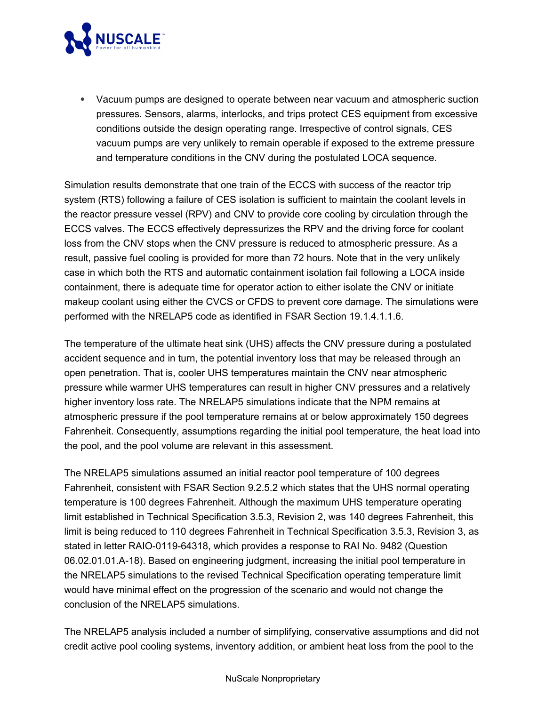

· Vacuum pumps are designed to operate between near vacuum and atmospheric suction pressures. Sensors, alarms, interlocks, and trips protect CES equipment from excessive conditions outside the design operating range. Irrespective of control signals, CES vacuum pumps are very unlikely to remain operable if exposed to the extreme pressure and temperature conditions in the CNV during the postulated LOCA sequence.

Simulation results demonstrate that one train of the ECCS with success of the reactor trip system (RTS) following a failure of CES isolation is sufficient to maintain the coolant levels in the reactor pressure vessel (RPV) and CNV to provide core cooling by circulation through the ECCS valves. The ECCS effectively depressurizes the RPV and the driving force for coolant loss from the CNV stops when the CNV pressure is reduced to atmospheric pressure. As a result, passive fuel cooling is provided for more than 72 hours. Note that in the very unlikely case in which both the RTS and automatic containment isolation fail following a LOCA inside containment, there is adequate time for operator action to either isolate the CNV or initiate makeup coolant using either the CVCS or CFDS to prevent core damage. The simulations were performed with the NRELAP5 code as identified in FSAR Section 19.1.4.1.1.6.

The temperature of the ultimate heat sink (UHS) affects the CNV pressure during a postulated accident sequence and in turn, the potential inventory loss that may be released through an open penetration. That is, cooler UHS temperatures maintain the CNV near atmospheric pressure while warmer UHS temperatures can result in higher CNV pressures and a relatively higher inventory loss rate. The NRELAP5 simulations indicate that the NPM remains at atmospheric pressure if the pool temperature remains at or below approximately 150 degrees Fahrenheit. Consequently, assumptions regarding the initial pool temperature, the heat load into the pool, and the pool volume are relevant in this assessment.

The NRELAP5 simulations assumed an initial reactor pool temperature of 100 degrees Fahrenheit, consistent with FSAR Section 9.2.5.2 which states that the UHS normal operating temperature is 100 degrees Fahrenheit. Although the maximum UHS temperature operating limit established in Technical Specification 3.5.3, Revision 2, was 140 degrees Fahrenheit, this limit is being reduced to 110 degrees Fahrenheit in Technical Specification 3.5.3, Revision 3, as stated in letter RAIO-0119-64318, which provides a response to RAI No. 9482 (Question 06.02.01.01.A-18). Based on engineering judgment, increasing the initial pool temperature in the NRELAP5 simulations to the revised Technical Specification operating temperature limit would have minimal effect on the progression of the scenario and would not change the conclusion of the NRELAP5 simulations.

The NRELAP5 analysis included a number of simplifying, conservative assumptions and did not credit active pool cooling systems, inventory addition, or ambient heat loss from the pool to the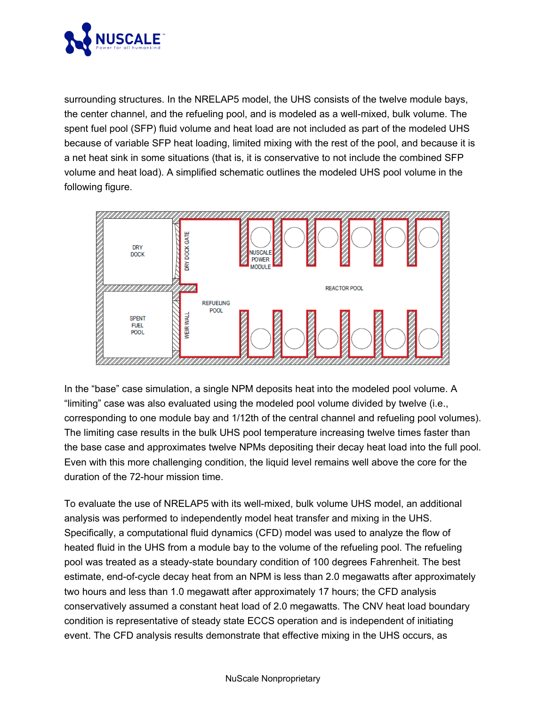

surrounding structures. In the NRELAP5 model, the UHS consists of the twelve module bays, the center channel, and the refueling pool, and is modeled as a well-mixed, bulk volume. The spent fuel pool (SFP) fluid volume and heat load are not included as part of the modeled UHS because of variable SFP heat loading, limited mixing with the rest of the pool, and because it is a net heat sink in some situations (that is, it is conservative to not include the combined SFP volume and heat load). A simplified schematic outlines the modeled UHS pool volume in the following figure.



In the "base" case simulation, a single NPM deposits heat into the modeled pool volume. A "limiting" case was also evaluated using the modeled pool volume divided by twelve (i.e., corresponding to one module bay and 1/12th of the central channel and refueling pool volumes). The limiting case results in the bulk UHS pool temperature increasing twelve times faster than the base case and approximates twelve NPMs depositing their decay heat load into the full pool. Even with this more challenging condition, the liquid level remains well above the core for the duration of the 72-hour mission time.

To evaluate the use of NRELAP5 with its well-mixed, bulk volume UHS model, an additional analysis was performed to independently model heat transfer and mixing in the UHS. Specifically, a computational fluid dynamics (CFD) model was used to analyze the flow of heated fluid in the UHS from a module bay to the volume of the refueling pool. The refueling pool was treated as a steady-state boundary condition of 100 degrees Fahrenheit. The best estimate, end-of-cycle decay heat from an NPM is less than 2.0 megawatts after approximately two hours and less than 1.0 megawatt after approximately 17 hours; the CFD analysis conservatively assumed a constant heat load of 2.0 megawatts. The CNV heat load boundary condition is representative of steady state ECCS operation and is independent of initiating event. The CFD analysis results demonstrate that effective mixing in the UHS occurs, as